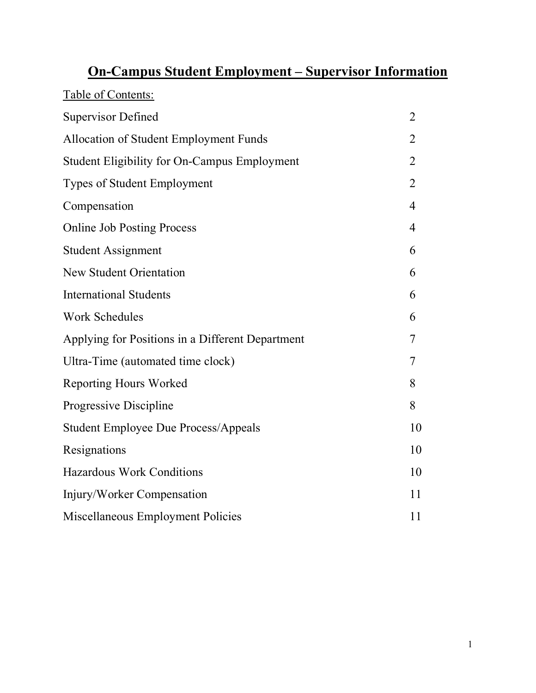# **On-Campus Student Employment – Supervisor Information**

| Table of Contents:                                  |                |
|-----------------------------------------------------|----------------|
| <b>Supervisor Defined</b>                           | $\overline{2}$ |
| Allocation of Student Employment Funds              | 2              |
| <b>Student Eligibility for On-Campus Employment</b> | 2              |
| Types of Student Employment                         | $\overline{2}$ |
| Compensation                                        | $\overline{4}$ |
| <b>Online Job Posting Process</b>                   | $\overline{4}$ |
| <b>Student Assignment</b>                           | 6              |
| <b>New Student Orientation</b>                      | 6              |
| <b>International Students</b>                       | 6              |
| <b>Work Schedules</b>                               | 6              |
| Applying for Positions in a Different Department    | 7              |
| Ultra-Time (automated time clock)                   | 7              |
| <b>Reporting Hours Worked</b>                       | 8              |
| Progressive Discipline                              | 8              |
| <b>Student Employee Due Process/Appeals</b>         | 10             |
| Resignations                                        | 10             |
| <b>Hazardous Work Conditions</b>                    | 10             |
| Injury/Worker Compensation                          | 11             |
| Miscellaneous Employment Policies                   | 11             |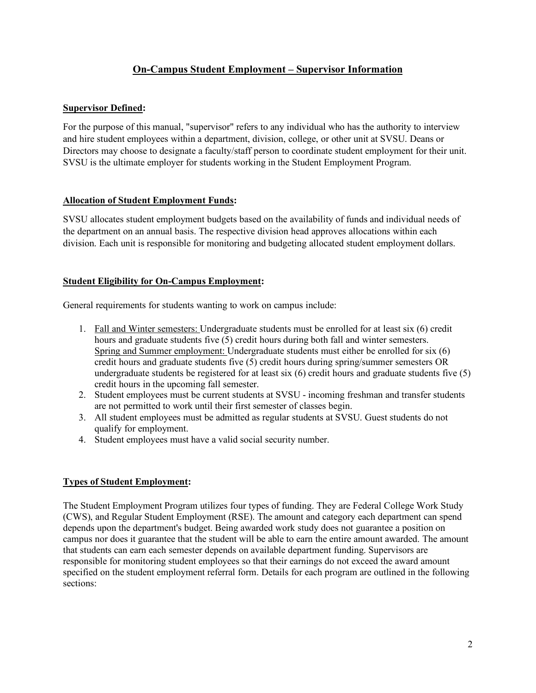# **On-Campus Student Employment – Supervisor Information**

# **Supervisor Defined:**

For the purpose of this manual, "supervisor" refers to any individual who has the authority to interview and hire student employees within a department, division, college, or other unit at SVSU. Deans or Directors may choose to designate a faculty/staff person to coordinate student employment for their unit. SVSU is the ultimate employer for students working in the Student Employment Program.

# **Allocation of Student Employment Funds:**

SVSU allocates student employment budgets based on the availability of funds and individual needs of the department on an annual basis. The respective division head approves allocations within each division. Each unit is responsible for monitoring and budgeting allocated student employment dollars.

# **Student Eligibility for On-Campus Employment:**

General requirements for students wanting to work on campus include:

- 1. Fall and Winter semesters: Undergraduate students must be enrolled for at least six (6) credit hours and graduate students five (5) credit hours during both fall and winter semesters. Spring and Summer employment: Undergraduate students must either be enrolled for six (6) credit hours and graduate students five (5) credit hours during spring/summer semesters OR undergraduate students be registered for at least six (6) credit hours and graduate students five (5) credit hours in the upcoming fall semester.
- 2. Student employees must be current students at SVSU incoming freshman and transfer students are not permitted to work until their first semester of classes begin.
- 3. All student employees must be admitted as regular students at SVSU. Guest students do not qualify for employment.
- 4. Student employees must have a valid social security number.

# **Types of Student Employment:**

The Student Employment Program utilizes four types of funding. They are Federal College Work Study (CWS), and Regular Student Employment (RSE). The amount and category each department can spend depends upon the department's budget. Being awarded work study does not guarantee a position on campus nor does it guarantee that the student will be able to earn the entire amount awarded. The amount that students can earn each semester depends on available department funding. Supervisors are responsible for monitoring student employees so that their earnings do not exceed the award amount specified on the student employment referral form. Details for each program are outlined in the following sections: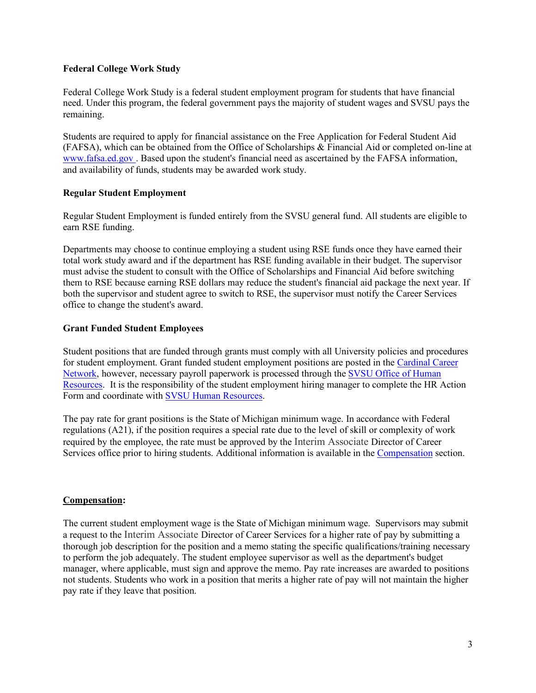## **Federal College Work Study**

Federal College Work Study is a federal student employment program for students that have financial need. Under this program, the federal government pays the majority of student wages and SVSU pays the remaining.

Students are required to apply for financial assistance on the Free Application for Federal Student Aid (FAFSA), which can be obtained from the Office of Scholarships & Financial Aid or completed on-line at www.fafsa.ed.gov . Based upon the student's financial need as ascertained by the FAFSA information, and availability of funds, students may be awarded work study.

## **Regular Student Employment**

Regular Student Employment is funded entirely from the SVSU general fund. All students are eligible to earn RSE funding.

Departments may choose to continue employing a student using RSE funds once they have earned their total work study award and if the department has RSE funding available in their budget. The supervisor must advise the student to consult with the Office of Scholarships and Financial Aid before switching them to RSE because earning RSE dollars may reduce the student's financial aid package the next year. If both the supervisor and student agree to switch to RSE, the supervisor must notify the Career Services office to change the student's award.

## **Grant Funded Student Employees**

Student positions that are funded through grants must comply with all University policies and procedures for student employment. Grant funded student employment positions are posted in the Cardinal Career Network, however, necessary payroll paperwork is processed through the SVSU Office of Human Resources. It is the responsibility of the student employment hiring manager to complete the HR Action Form and coordinate with SVSU Human Resources.

The pay rate for grant positions is the State of Michigan minimum wage. In accordance with Federal regulations (A21), if the position requires a special rate due to the level of skill or complexity of work required by the employee, the rate must be approved by the Interim Associate Director of Career Services office prior to hiring students. Additional information is available in the Compensation section.

# **Compensation:**

The current student employment wage is the State of Michigan minimum wage. Supervisors may submit a request to the Interim Associate Director of Career Services for a higher rate of pay by submitting a thorough job description for the position and a memo stating the specific qualifications/training necessary to perform the job adequately. The student employee supervisor as well as the department's budget manager, where applicable, must sign and approve the memo. Pay rate increases are awarded to positions not students. Students who work in a position that merits a higher rate of pay will not maintain the higher pay rate if they leave that position.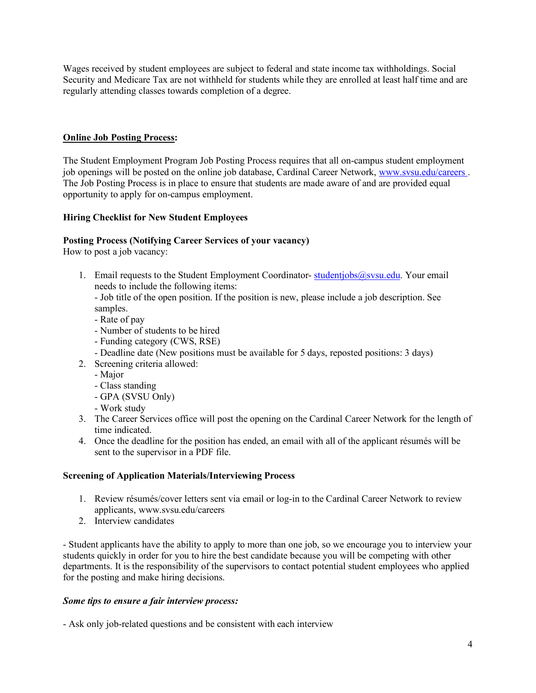Wages received by student employees are subject to federal and state income tax withholdings. Social Security and Medicare Tax are not withheld for students while they are enrolled at least half time and are regularly attending classes towards completion of a degree.

# **Online Job Posting Process:**

The Student Employment Program Job Posting Process requires that all on-campus student employment job openings will be posted on the online job database, Cardinal Career Network, www.svsu.edu/careers . The Job Posting Process is in place to ensure that students are made aware of and are provided equal opportunity to apply for on-campus employment.

# **Hiring Checklist for New Student Employees**

# **Posting Process (Notifying Career Services of your vacancy)**

How to post a job vacancy:

1. Email requests to the Student Employment Coordinator-studentjobs@svsu.edu. Your email needs to include the following items:

- Job title of the open position. If the position is new, please include a job description. See samples.

- Rate of pay
- Number of students to be hired
- Funding category (CWS, RSE)
- Deadline date (New positions must be available for 5 days, reposted positions: 3 days)
- 2. Screening criteria allowed:
	- Major
	- Class standing
	- GPA (SVSU Only)
	- Work study
- 3. The Career Services office will post the opening on the Cardinal Career Network for the length of time indicated.
- 4. Once the deadline for the position has ended, an email with all of the applicant résumés will be sent to the supervisor in a PDF file.

# **Screening of Application Materials/Interviewing Process**

- 1. Review résumés/cover letters sent via email or log-in to the Cardinal Career Network to review applicants, www.svsu.edu/careers
- 2. Interview candidates

- Student applicants have the ability to apply to more than one job, so we encourage you to interview your students quickly in order for you to hire the best candidate because you will be competing with other departments. It is the responsibility of the supervisors to contact potential student employees who applied for the posting and make hiring decisions.

# *Some tips to ensure a fair interview process:*

- Ask only job-related questions and be consistent with each interview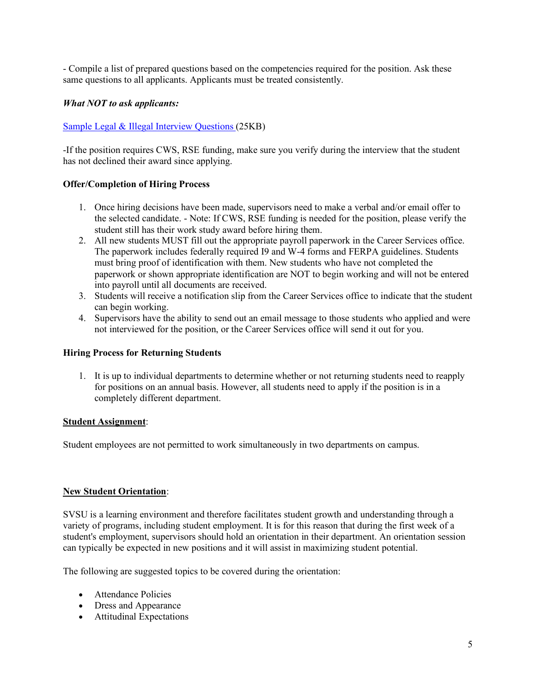- Compile a list of prepared questions based on the competencies required for the position. Ask these same questions to all applicants. Applicants must be treated consistently.

## *What NOT to ask applicants:*

## Sample Legal & Illegal Interview Questions (25KB)

-If the position requires CWS, RSE funding, make sure you verify during the interview that the student has not declined their award since applying.

## **Offer/Completion of Hiring Process**

- 1. Once hiring decisions have been made, supervisors need to make a verbal and/or email offer to the selected candidate. - Note: If CWS, RSE funding is needed for the position, please verify the student still has their work study award before hiring them.
- 2. All new students MUST fill out the appropriate payroll paperwork in the Career Services office. The paperwork includes federally required I9 and W-4 forms and FERPA guidelines. Students must bring proof of identification with them. New students who have not completed the paperwork or shown appropriate identification are NOT to begin working and will not be entered into payroll until all documents are received.
- 3. Students will receive a notification slip from the Career Services office to indicate that the student can begin working.
- 4. Supervisors have the ability to send out an email message to those students who applied and were not interviewed for the position, or the Career Services office will send it out for you.

#### **Hiring Process for Returning Students**

1. It is up to individual departments to determine whether or not returning students need to reapply for positions on an annual basis. However, all students need to apply if the position is in a completely different department.

## **Student Assignment**:

Student employees are not permitted to work simultaneously in two departments on campus.

#### **New Student Orientation**:

SVSU is a learning environment and therefore facilitates student growth and understanding through a variety of programs, including student employment. It is for this reason that during the first week of a student's employment, supervisors should hold an orientation in their department. An orientation session can typically be expected in new positions and it will assist in maximizing student potential.

The following are suggested topics to be covered during the orientation:

- Attendance Policies
- Dress and Appearance
- Attitudinal Expectations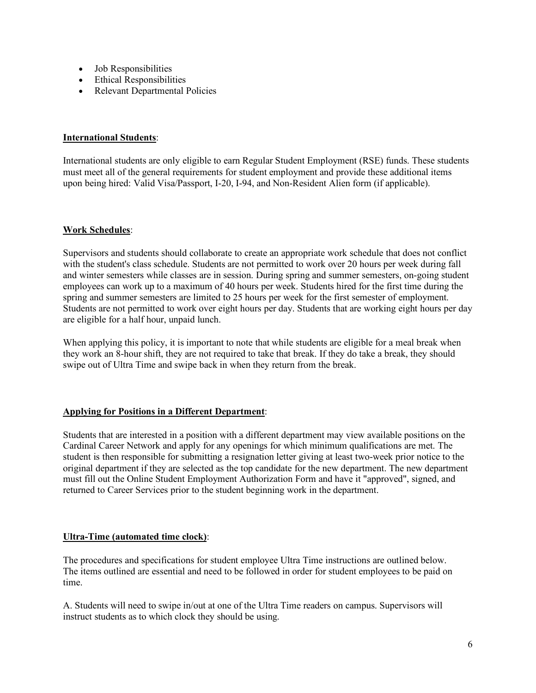- Job Responsibilities
- Ethical Responsibilities
- Relevant Departmental Policies

## **International Students**:

International students are only eligible to earn Regular Student Employment (RSE) funds. These students must meet all of the general requirements for student employment and provide these additional items upon being hired: Valid Visa/Passport, I-20, I-94, and Non-Resident Alien form (if applicable).

## **Work Schedules**:

Supervisors and students should collaborate to create an appropriate work schedule that does not conflict with the student's class schedule. Students are not permitted to work over 20 hours per week during fall and winter semesters while classes are in session. During spring and summer semesters, on-going student employees can work up to a maximum of 40 hours per week. Students hired for the first time during the spring and summer semesters are limited to 25 hours per week for the first semester of employment. Students are not permitted to work over eight hours per day. Students that are working eight hours per day are eligible for a half hour, unpaid lunch.

When applying this policy, it is important to note that while students are eligible for a meal break when they work an 8-hour shift, they are not required to take that break. If they do take a break, they should swipe out of Ultra Time and swipe back in when they return from the break.

# **Applying for Positions in a Different Department**:

Students that are interested in a position with a different department may view available positions on the Cardinal Career Network and apply for any openings for which minimum qualifications are met. The student is then responsible for submitting a resignation letter giving at least two-week prior notice to the original department if they are selected as the top candidate for the new department. The new department must fill out the Online Student Employment Authorization Form and have it "approved", signed, and returned to Career Services prior to the student beginning work in the department.

# **Ultra-Time (automated time clock)**:

The procedures and specifications for student employee Ultra Time instructions are outlined below. The items outlined are essential and need to be followed in order for student employees to be paid on time.

A. Students will need to swipe in/out at one of the Ultra Time readers on campus. Supervisors will instruct students as to which clock they should be using.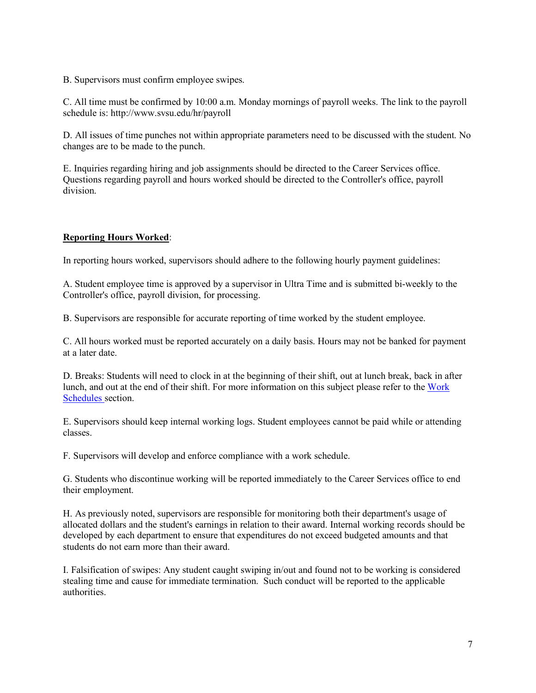B. Supervisors must confirm employee swipes.

C. All time must be confirmed by 10:00 a.m. Monday mornings of payroll weeks. The link to the payroll schedule is: http://www.svsu.edu/hr/payroll

D. All issues of time punches not within appropriate parameters need to be discussed with the student. No changes are to be made to the punch.

E. Inquiries regarding hiring and job assignments should be directed to the Career Services office. Questions regarding payroll and hours worked should be directed to the Controller's office, payroll division.

# **Reporting Hours Worked**:

In reporting hours worked, supervisors should adhere to the following hourly payment guidelines:

A. Student employee time is approved by a supervisor in Ultra Time and is submitted bi-weekly to the Controller's office, payroll division, for processing.

B. Supervisors are responsible for accurate reporting of time worked by the student employee.

C. All hours worked must be reported accurately on a daily basis. Hours may not be banked for payment at a later date.

D. Breaks: Students will need to clock in at the beginning of their shift, out at lunch break, back in after lunch, and out at the end of their shift. For more information on this subject please refer to the Work Schedules section.

E. Supervisors should keep internal working logs. Student employees cannot be paid while or attending classes.

F. Supervisors will develop and enforce compliance with a work schedule.

G. Students who discontinue working will be reported immediately to the Career Services office to end their employment.

H. As previously noted, supervisors are responsible for monitoring both their department's usage of allocated dollars and the student's earnings in relation to their award. Internal working records should be developed by each department to ensure that expenditures do not exceed budgeted amounts and that students do not earn more than their award.

I. Falsification of swipes: Any student caught swiping in/out and found not to be working is considered stealing time and cause for immediate termination. Such conduct will be reported to the applicable authorities.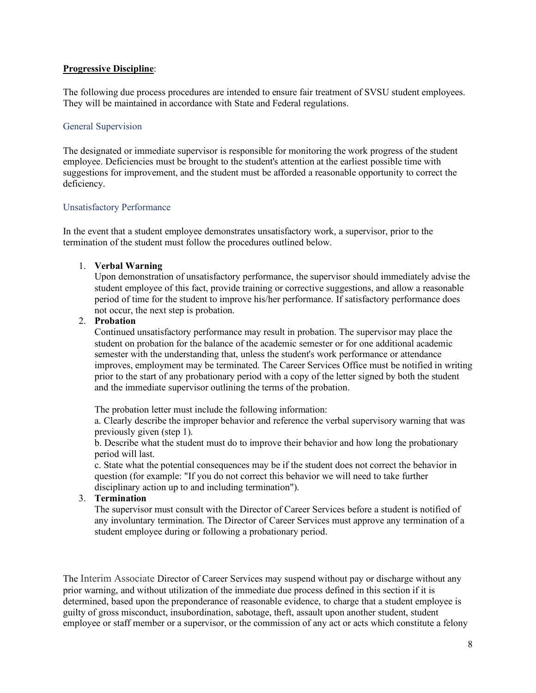## **Progressive Discipline**:

The following due process procedures are intended to ensure fair treatment of SVSU student employees. They will be maintained in accordance with State and Federal regulations.

#### General Supervision

The designated or immediate supervisor is responsible for monitoring the work progress of the student employee. Deficiencies must be brought to the student's attention at the earliest possible time with suggestions for improvement, and the student must be afforded a reasonable opportunity to correct the deficiency.

#### Unsatisfactory Performance

In the event that a student employee demonstrates unsatisfactory work, a supervisor, prior to the termination of the student must follow the procedures outlined below.

#### 1. **Verbal Warning**

Upon demonstration of unsatisfactory performance, the supervisor should immediately advise the student employee of this fact, provide training or corrective suggestions, and allow a reasonable period of time for the student to improve his/her performance. If satisfactory performance does not occur, the next step is probation.

#### 2. **Probation**

Continued unsatisfactory performance may result in probation. The supervisor may place the student on probation for the balance of the academic semester or for one additional academic semester with the understanding that, unless the student's work performance or attendance improves, employment may be terminated. The Career Services Office must be notified in writing prior to the start of any probationary period with a copy of the letter signed by both the student and the immediate supervisor outlining the terms of the probation.

The probation letter must include the following information:

a. Clearly describe the improper behavior and reference the verbal supervisory warning that was previously given (step 1).

b. Describe what the student must do to improve their behavior and how long the probationary period will last.

c. State what the potential consequences may be if the student does not correct the behavior in question (for example: "If you do not correct this behavior we will need to take further disciplinary action up to and including termination").

## 3. **Termination**

The supervisor must consult with the Director of Career Services before a student is notified of any involuntary termination. The Director of Career Services must approve any termination of a student employee during or following a probationary period.

The Interim Associate Director of Career Services may suspend without pay or discharge without any prior warning, and without utilization of the immediate due process defined in this section if it is determined, based upon the preponderance of reasonable evidence, to charge that a student employee is guilty of gross misconduct, insubordination, sabotage, theft, assault upon another student, student employee or staff member or a supervisor, or the commission of any act or acts which constitute a felony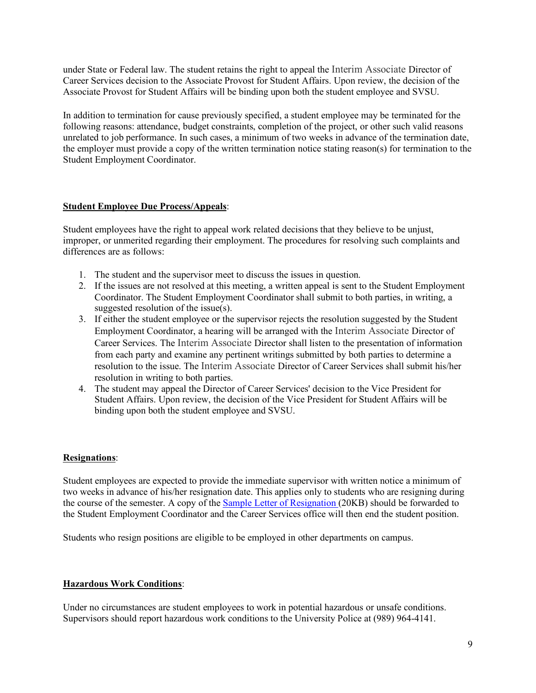under State or Federal law. The student retains the right to appeal the Interim Associate Director of Career Services decision to the Associate Provost for Student Affairs. Upon review, the decision of the Associate Provost for Student Affairs will be binding upon both the student employee and SVSU.

In addition to termination for cause previously specified, a student employee may be terminated for the following reasons: attendance, budget constraints, completion of the project, or other such valid reasons unrelated to job performance. In such cases, a minimum of two weeks in advance of the termination date, the employer must provide a copy of the written termination notice stating reason(s) for termination to the Student Employment Coordinator.

## **Student Employee Due Process/Appeals**:

Student employees have the right to appeal work related decisions that they believe to be unjust, improper, or unmerited regarding their employment. The procedures for resolving such complaints and differences are as follows:

- 1. The student and the supervisor meet to discuss the issues in question.
- 2. If the issues are not resolved at this meeting, a written appeal is sent to the Student Employment Coordinator. The Student Employment Coordinator shall submit to both parties, in writing, a suggested resolution of the issue(s).
- 3. If either the student employee or the supervisor rejects the resolution suggested by the Student Employment Coordinator, a hearing will be arranged with the Interim Associate Director of Career Services. The Interim Associate Director shall listen to the presentation of information from each party and examine any pertinent writings submitted by both parties to determine a resolution to the issue. The Interim Associate Director of Career Services shall submit his/her resolution in writing to both parties.
- 4. The student may appeal the Director of Career Services' decision to the Vice President for Student Affairs. Upon review, the decision of the Vice President for Student Affairs will be binding upon both the student employee and SVSU.

## **Resignations**:

Student employees are expected to provide the immediate supervisor with written notice a minimum of two weeks in advance of his/her resignation date. This applies only to students who are resigning during the course of the semester. A copy of the Sample Letter of Resignation (20KB) should be forwarded to the Student Employment Coordinator and the Career Services office will then end the student position.

Students who resign positions are eligible to be employed in other departments on campus.

## **Hazardous Work Conditions**:

Under no circumstances are student employees to work in potential hazardous or unsafe conditions. Supervisors should report hazardous work conditions to the University Police at (989) 964-4141.